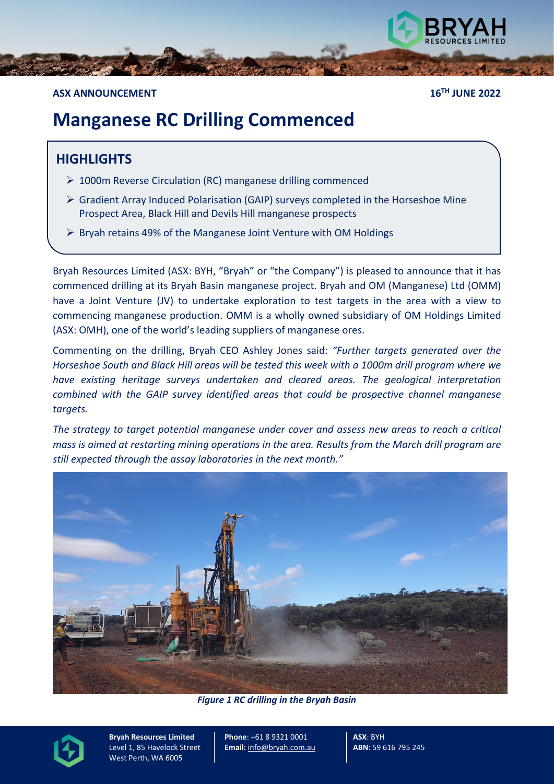

### **ASX ANNOUNCEMENT 16TH JUNE 2022**

# **Manganese RC Drilling Commenced**

## **HIGHLIGHTS**

- ▶ 1000m Reverse Circulation (RC) manganese drilling commenced
- $\triangleright$  Gradient Array Induced Polarisation (GAIP) surveys completed in the Horseshoe Mine Prospect Area, Black Hill and Devils Hill manganese prospects
- $\triangleright$  Bryah retains 49% of the Manganese Joint Venture with OM Holdings

Bryah Resources Limited (ASX: BYH, "Bryah" or "the Company") is pleased to announce that it has commenced drilling at its Bryah Basin manganese project. Bryah and OM (Manganese) Ltd (OMM) have a Joint Venture (JV) to undertake exploration to test targets in the area with a view to commencing manganese production. OMM is a wholly owned subsidiary of OM Holdings Limited (ASX: OMH), one of the world's leading suppliers of manganese ores.

Commenting on the drilling, Bryah CEO Ashley Jones said: *"Further targets generated over the Horseshoe South and Black Hill areas will be tested this week with a 1000m drill program where we have existing heritage surveys undertaken and cleared areas. The geological interpretation combined with the GAIP survey identified areas that could be prospective channel manganese targets.*

*The strategy to target potential manganese under cover and assess new areas to reach a critical mass is aimed at restarting mining operations in the area. Results from the March drill program are still expected through the assay laboratories in the next month."*



*Figure 1 RC drilling in the Bryah Basin*



**Bryah Resources Limited** Level 1, 85 Havelock Street West Perth, WA 6005

**Phone**: +61 8 9321 0001 **Email:** [info@bryah.com.au](mailto:info@bryah.com.au) **ASX**: BYH **ABN**: 59 616 795 245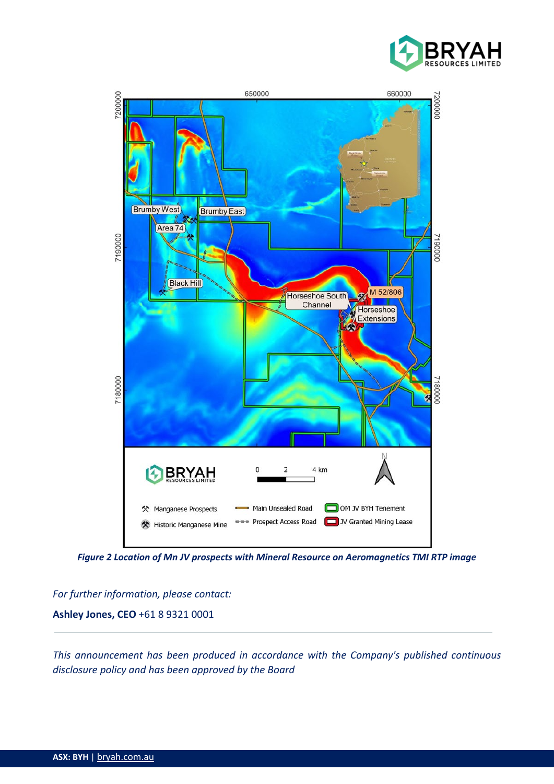



*Figure 2 Location of Mn JV prospects with Mineral Resource on Aeromagnetics TMI RTP image*

*For further information, please contact:*  **Ashley Jones, CEO** +61 8 9321 0001

*This announcement has been produced in accordance with the Company's published continuous disclosure policy and has been approved by the Board*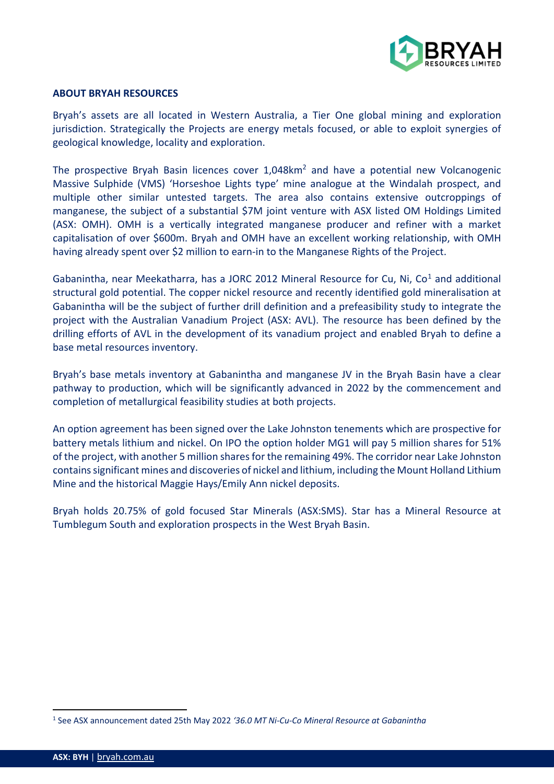

#### **ABOUT BRYAH RESOURCES**

Bryah's assets are all located in Western Australia, a Tier One global mining and exploration jurisdiction. Strategically the Projects are energy metals focused, or able to exploit synergies of geological knowledge, locality and exploration.

The prospective Bryah Basin licences cover 1,048km<sup>2</sup> and have a potential new Volcanogenic Massive Sulphide (VMS) 'Horseshoe Lights type' mine analogue at the Windalah prospect, and multiple other similar untested targets. The area also contains extensive outcroppings of manganese, the subject of a substantial \$7M joint venture with ASX listed OM Holdings Limited (ASX: OMH). OMH is a vertically integrated manganese producer and refiner with a market capitalisation of over \$600m. Bryah and OMH have an excellent working relationship, with OMH having already spent over \$2 million to earn-in to the Manganese Rights of the Project.

Gabanintha, near Meekatharra, has a JORC 20[1](#page-2-0)2 Mineral Resource for Cu, Ni, Co<sup>1</sup> and additional structural gold potential. The copper nickel resource and recently identified gold mineralisation at Gabanintha will be the subject of further drill definition and a prefeasibility study to integrate the project with the Australian Vanadium Project (ASX: AVL). The resource has been defined by the drilling efforts of AVL in the development of its vanadium project and enabled Bryah to define a base metal resources inventory.

Bryah's base metals inventory at Gabanintha and manganese JV in the Bryah Basin have a clear pathway to production, which will be significantly advanced in 2022 by the commencement and completion of metallurgical feasibility studies at both projects.

An option agreement has been signed over the Lake Johnston tenements which are prospective for battery metals lithium and nickel. On IPO the option holder MG1 will pay 5 million shares for 51% of the project, with another 5 million shares for the remaining 49%. The corridor near Lake Johnston contains significant mines and discoveries of nickel and lithium, including the Mount Holland Lithium Mine and the historical Maggie Hays/Emily Ann nickel deposits.

Bryah holds 20.75% of gold focused Star Minerals (ASX:SMS). Star has a Mineral Resource at Tumblegum South and exploration prospects in the West Bryah Basin.

<span id="page-2-0"></span><sup>1</sup> See ASX announcement dated 25th May 2022 *'36.0 MT Ni-Cu-Co Mineral Resource at Gabanintha*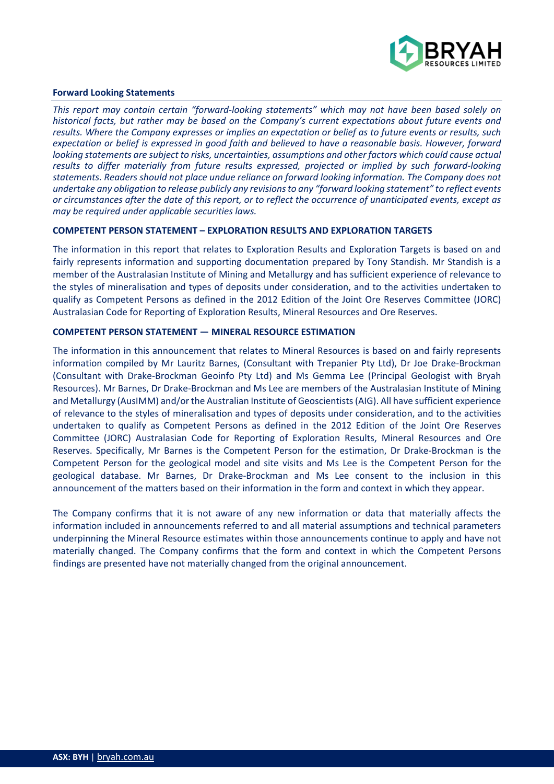

#### **Forward Looking Statements**

*This report may contain certain "forward-looking statements" which may not have been based solely on historical facts, but rather may be based on the Company's current expectations about future events and results. Where the Company expresses or implies an expectation or belief as to future events or results, such expectation or belief is expressed in good faith and believed to have a reasonable basis. However, forward looking statements are subject to risks, uncertainties, assumptions and other factors which could cause actual results to differ materially from future results expressed, projected or implied by such forward-looking statements. Readers should not place undue reliance on forward looking information. The Company does not undertake any obligation to release publicly any revisions to any "forward looking statement" to reflect events or circumstances after the date of this report, or to reflect the occurrence of unanticipated events, except as may be required under applicable securities laws.*

#### **COMPETENT PERSON STATEMENT – EXPLORATION RESULTS AND EXPLORATION TARGETS**

The information in this report that relates to Exploration Results and Exploration Targets is based on and fairly represents information and supporting documentation prepared by Tony Standish. Mr Standish is a member of the Australasian Institute of Mining and Metallurgy and has sufficient experience of relevance to the styles of mineralisation and types of deposits under consideration, and to the activities undertaken to qualify as Competent Persons as defined in the 2012 Edition of the Joint Ore Reserves Committee (JORC) Australasian Code for Reporting of Exploration Results, Mineral Resources and Ore Reserves.

#### **COMPETENT PERSON STATEMENT — MINERAL RESOURCE ESTIMATION**

The information in this announcement that relates to Mineral Resources is based on and fairly represents information compiled by Mr Lauritz Barnes, (Consultant with Trepanier Pty Ltd), Dr Joe Drake-Brockman (Consultant with Drake-Brockman Geoinfo Pty Ltd) and Ms Gemma Lee (Principal Geologist with Bryah Resources). Mr Barnes, Dr Drake-Brockman and Ms Lee are members of the Australasian Institute of Mining and Metallurgy (AusIMM) and/or the Australian Institute of Geoscientists (AIG). All have sufficient experience of relevance to the styles of mineralisation and types of deposits under consideration, and to the activities undertaken to qualify as Competent Persons as defined in the 2012 Edition of the Joint Ore Reserves Committee (JORC) Australasian Code for Reporting of Exploration Results, Mineral Resources and Ore Reserves. Specifically, Mr Barnes is the Competent Person for the estimation, Dr Drake-Brockman is the Competent Person for the geological model and site visits and Ms Lee is the Competent Person for the geological database. Mr Barnes, Dr Drake-Brockman and Ms Lee consent to the inclusion in this announcement of the matters based on their information in the form and context in which they appear.

The Company confirms that it is not aware of any new information or data that materially affects the information included in announcements referred to and all material assumptions and technical parameters underpinning the Mineral Resource estimates within those announcements continue to apply and have not materially changed. The Company confirms that the form and context in which the Competent Persons findings are presented have not materially changed from the original announcement.